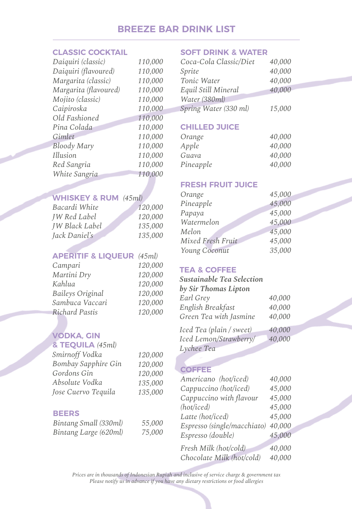# **BREEZE BAR DRINK LIST**

#### **CLASSIC COCKTAIL**

| Daiquiri (classic)    | 110,000 |
|-----------------------|---------|
| Daiquiri (flavoured)  | 110,000 |
| Margarita (classic)   | 110,000 |
| Margarita (flavoured) | 110,000 |
| Mojito (classic)      | 110,000 |
| Caipiroska            | 110,000 |
| Old Fashioned         | 110,000 |
| Pina Colada           | 110,000 |
| Gimlet                | 110,000 |
| <b>Bloody Mary</b>    | 110,000 |
| Illusion              | 110,000 |
| Red Sangria           | 110,000 |
| White Sangria         | 110,000 |
|                       |         |

# **WHISKEY & RUM** *(45ml)*

| Bacardi White         | 120,000 |
|-----------------------|---------|
| <b>JW</b> Red Label   | 120,000 |
| <b>IW Black Label</b> | 135,000 |
| Jack Daniel's         | 135,000 |

### **APERITIF & LIQUEUR** *(45ml)*

| Campari                 | 120,000 |
|-------------------------|---------|
| Martini Dry             | 120,000 |
| Kahlua                  | 120,000 |
| <b>Baileys Original</b> | 120,000 |
| Sambuca Vaccari         | 120,000 |
| <b>Richard Pastis</b>   | 120,000 |

## **VODKA, GIN**

| & TEQUILA (45ml)    |         |
|---------------------|---------|
| Smirnoff Vodka      | 120,000 |
| Bombay Sapphire Gin | 120,000 |
| Gordons Gin         | 120,000 |
| Absolute Vodka      | 135,000 |
| Jose Cuervo Tequila | 135,000 |

#### **BEERS**

| Bintang Small (330ml) | 55,000 |
|-----------------------|--------|
| Bintang Large (620ml) | 75,000 |

#### **SOFT DRINK & WATER**

| Coca-Cola Classic/Diet | 40,000 |
|------------------------|--------|
| Sprite                 | 40,000 |
| Tonic Water            | 40,000 |
| Equil Still Mineral    | 40,000 |
| Water (380ml)          |        |
| Spring Water (330 ml)  | 15,000 |

#### **CHILLED JUICE**

| Orange    | 40,000 |
|-----------|--------|
| Apple     | 40,000 |
| Guava     | 40,000 |
| Pineapple | 40,000 |
|           |        |

#### **FRESH FRUIT JUICE**

| Orange            | 45,000 |
|-------------------|--------|
| Pineapple         | 45,000 |
| Papaya            | 45,000 |
| Watermelon        | 45,000 |
| Melon             | 45,000 |
| Mixed Fresh Fruit | 45,000 |
| Young Coconut     | 35,000 |

### **TEA & COFFEE**

#### *Sustainable Tea Selection by Sir Thomas Lipton Earl Grey English Breakfast Green Tea with Jasmine 40,000 40,000 40,000*

| Iced Tea (plain / sweet) | 40,000 |
|--------------------------|--------|
| Iced Lemon/Strawberry/   | 40,000 |
| Lychee Tea               |        |

#### **COFFEE**

| Americano (hot/iced)        | 40,000 |
|-----------------------------|--------|
| Cappuccino (hot/iced)       | 45,000 |
| Cappuccino with flavour     | 45,000 |
| (hot/iced)                  | 45,000 |
| Latte (hot/iced)            | 45,000 |
| Espresso (single/macchiato) | 40,000 |
| Espresso (double)           | 45,000 |
| Fresh Milk (hot/cold)       | 40,000 |
| Chocolate Milk (hot/cold)   | 40,000 |

<u>and and the second second in the second second in the second second second in the second second in the second second second in the second second second in the second second second second second second second second second</u>

*Prices are in thousands of Indonesian Rupiah and inclusive of service charge & government tax Please notify us in advance if you have any dietary restrictions or food allergies*